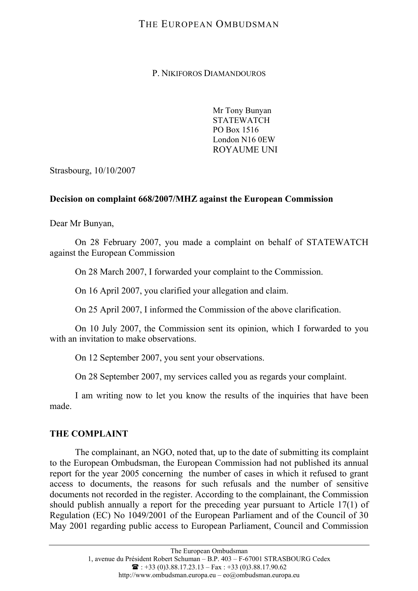# THE EUROPEAN OMBUDSMAN

P. NIKIFOROS DIAMANDOUROS

Mr Tony Bunyan **STATEWATCH** PO Box 1516 London N16 0EW ROYAUME UNI

Strasbourg, 10/10/2007

### **Decision on complaint 668/2007/MHZ against the European Commission**

Dear Mr Bunyan,

On 28 February 2007, you made a complaint on behalf of STATEWATCH against the European Commission

On 28 March 2007, I forwarded your complaint to the Commission.

On 16 April 2007, you clarified your allegation and claim.

On 25 April 2007, I informed the Commission of the above clarification.

On 10 July 2007, the Commission sent its opinion, which I forwarded to you with an invitation to make observations.

On 12 September 2007, you sent your observations.

On 28 September 2007, my services called you as regards your complaint.

I am writing now to let you know the results of the inquiries that have been made.

### **THE COMPLAINT**

The complainant, an NGO, noted that, up to the date of submitting its complaint to the European Ombudsman, the European Commission had not published its annual report for the year 2005 concerning the number of cases in which it refused to grant access to documents, the reasons for such refusals and the number of sensitive documents not recorded in the register. According to the complainant, the Commission should publish annually a report for the preceding year pursuant to Article 17(1) of Regulation (EC) No 1049/2001 of the European Parliament and of the Council of 30 May 2001 regarding public access to European Parliament, Council and Commission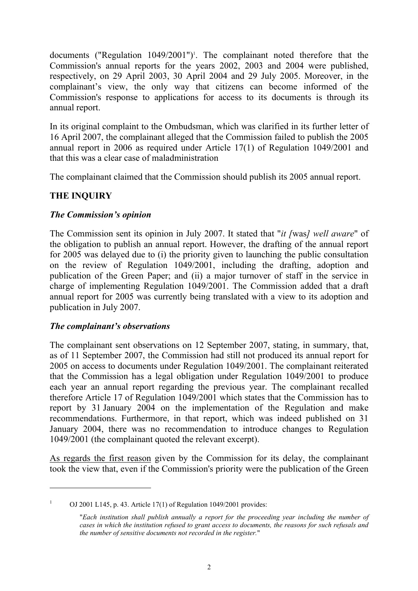documents ("Regulation 1049/2001")<sup>1</sup>. The complainant noted therefore that the Commission's annual reports for the years 2002, 2003 and 2004 were published, respectively, on 29 April 2003, 30 April 2004 and 29 July 2005. Moreover, in the complainant's view, the only way that citizens can become informed of the Commission's response to applications for access to its documents is through its annual report.

In its original complaint to the Ombudsman, which was clarified in its further letter of 16 April 2007, the complainant alleged that the Commission failed to publish the 2005 annual report in 2006 as required under Article 17(1) of Regulation 1049/2001 and that this was a clear case of maladministration

The complainant claimed that the Commission should publish its 2005 annual report.

### **THE INQUIRY**

### *The Commission's opinion*

The Commission sent its opinion in July 2007. It stated that "*it [*was*] well aware*" of the obligation to publish an annual report. However, the drafting of the annual report for 2005 was delayed due to (i) the priority given to launching the public consultation on the review of Regulation 1049/2001, including the drafting, adoption and publication of the Green Paper; and (ii) a major turnover of staff in the service in charge of implementing Regulation 1049/2001. The Commission added that a draft annual report for 2005 was currently being translated with a view to its adoption and publication in July 2007.

### *The complainant's observations*

The complainant sent observations on 12 September 2007, stating, in summary, that, as of 11 September 2007, the Commission had still not produced its annual report for 2005 on access to documents under Regulation 1049/2001. The complainant reiterated that the Commission has a legal obligation under Regulation 1049/2001 to produce each year an annual report regarding the previous year. The complainant recalled therefore Article 17 of Regulation 1049/2001 which states that the Commission has to report by 31 January 2004 on the implementation of the Regulation and make recommendations. Furthermore, in that report, which was indeed published on 31 January 2004, there was no recommendation to introduce changes to Regulation 1049/2001 (the complainant quoted the relevant excerpt).

As regards the first reason given by the Commission for its delay, the complainant took the view that, even if the Commission's priority were the publication of the Green

<sup>1</sup> OJ 2001 L145, p. 43. Article 17(1) of Regulation 1049/2001 provides:

 <sup>&</sup>quot;*Each institution shall publish annually a report for the proceeding year including the number of cases in which the institution refused to grant access to documents, the reasons for such refusals and the number of sensitive documents not recorded in the register.*"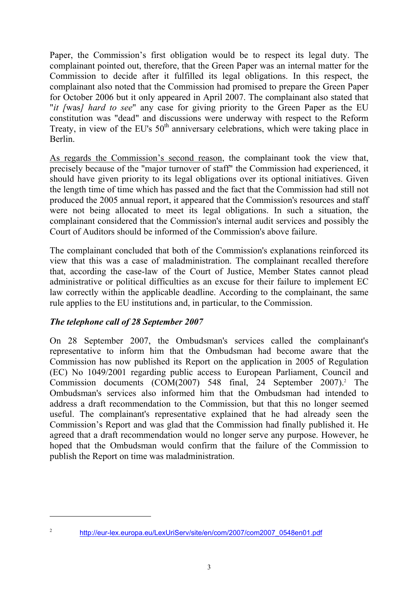Paper, the Commission's first obligation would be to respect its legal duty. The complainant pointed out, therefore, that the Green Paper was an internal matter for the Commission to decide after it fulfilled its legal obligations. In this respect, the complainant also noted that the Commission had promised to prepare the Green Paper for October 2006 but it only appeared in April 2007. The complainant also stated that "*it [*was*] hard to see*" any case for giving priority to the Green Paper as the EU constitution was "dead" and discussions were underway with respect to the Reform Treaty, in view of the EU's  $50<sup>th</sup>$  anniversary celebrations, which were taking place in Berlin.

As regards the Commission's second reason, the complainant took the view that, precisely because of the "major turnover of staff" the Commission had experienced, it should have given priority to its legal obligations over its optional initiatives. Given the length time of time which has passed and the fact that the Commission had still not produced the 2005 annual report, it appeared that the Commission's resources and staff were not being allocated to meet its legal obligations. In such a situation, the complainant considered that the Commission's internal audit services and possibly the Court of Auditors should be informed of the Commission's above failure.

The complainant concluded that both of the Commission's explanations reinforced its view that this was a case of maladministration. The complainant recalled therefore that, according the case-law of the Court of Justice, Member States cannot plead administrative or political difficulties as an excuse for their failure to implement EC law correctly within the applicable deadline. According to the complainant, the same rule applies to the EU institutions and, in particular, to the Commission.

# *The telephone call of 28 September 2007*

  $\overline{2}$ 

On 28 September 2007, the Ombudsman's services called the complainant's representative to inform him that the Ombudsman had become aware that the Commission has now published its Report on the application in 2005 of Regulation (EC) No 1049/2001 regarding public access to European Parliament, Council and Commission documents (COM(2007) 548 final, 24 September 2007).<sup>2</sup> The Ombudsman's services also informed him that the Ombudsman had intended to address a draft recommendation to the Commission, but that this no longer seemed useful. The complainant's representative explained that he had already seen the Commission's Report and was glad that the Commission had finally published it. He agreed that a draft recommendation would no longer serve any purpose. However, he hoped that the Ombudsman would confirm that the failure of the Commission to publish the Report on time was maladministration.

http://eur-lex.europa.eu/LexUriServ/site/en/com/2007/com2007\_0548en01.pdf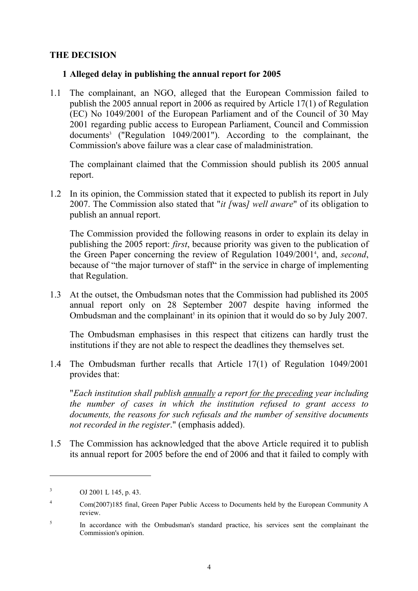### **THE DECISION**

### **1 Alleged delay in publishing the annual report for 2005**

1.1 The complainant, an NGO, alleged that the European Commission failed to publish the 2005 annual report in 2006 as required by Article 17(1) of Regulation (EC) No 1049/2001 of the European Parliament and of the Council of 30 May 2001 regarding public access to European Parliament, Council and Commission documents<sup>3</sup> ("Regulation 1049/2001"). According to the complainant, the Commission's above failure was a clear case of maladministration.

The complainant claimed that the Commission should publish its 2005 annual report.

1.2 In its opinion, the Commission stated that it expected to publish its report in July 2007. The Commission also stated that "*it [*was*] well aware*" of its obligation to publish an annual report.

The Commission provided the following reasons in order to explain its delay in publishing the 2005 report: *first*, because priority was given to the publication of the Green Paper concerning the review of Regulation 1049/20014 , and, *second*, because of "the major turnover of staff" in the service in charge of implementing that Regulation.

1.3 At the outset, the Ombudsman notes that the Commission had published its 2005 annual report only on 28 September 2007 despite having informed the Ombudsman and the complainant<sup>5</sup> in its opinion that it would do so by July 2007.

 The Ombudsman emphasises in this respect that citizens can hardly trust the institutions if they are not able to respect the deadlines they themselves set.

1.4 The Ombudsman further recalls that Article 17(1) of Regulation 1049/2001 provides that:

 "*Each institution shall publish annually a report for the preceding year including the number of cases in which the institution refused to grant access to documents, the reasons for such refusals and the number of sensitive documents not recorded in the register*." (emphasis added).

1.5 The Commission has acknowledged that the above Article required it to publish its annual report for 2005 before the end of 2006 and that it failed to comply with

 $\overline{a}$ 

<sup>3</sup> OJ 2001 L 145, p. 43.

<sup>4</sup> Com(2007)185 final, Green Paper Public Access to Documents held by the European Community A review.

<sup>5</sup> In accordance with the Ombudsman's standard practice, his services sent the complainant the Commission's opinion.